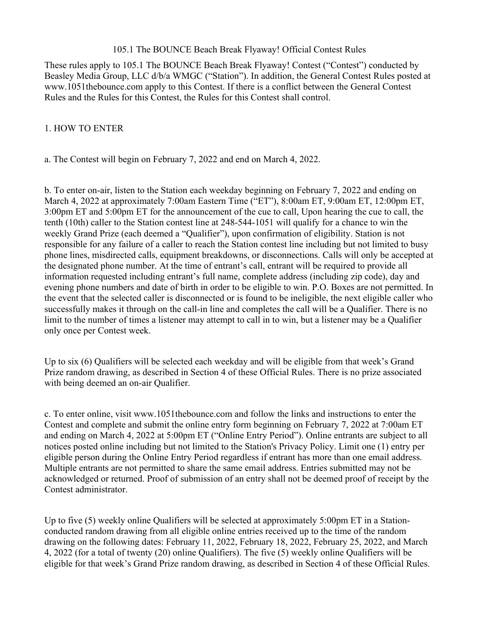#### 105.1 The BOUNCE Beach Break Flyaway! Official Contest Rules

These rules apply to 105.1 The BOUNCE Beach Break Flyaway! Contest ("Contest") conducted by Beasley Media Group, LLC d/b/a WMGC ("Station"). In addition, the General Contest Rules posted at www.1051thebounce.com apply to this Contest. If there is a conflict between the General Contest Rules and the Rules for this Contest, the Rules for this Contest shall control.

#### 1. HOW TO ENTER

a. The Contest will begin on February 7, 2022 and end on March 4, 2022.

b. To enter on-air, listen to the Station each weekday beginning on February 7, 2022 and ending on March 4, 2022 at approximately 7:00am Eastern Time ("ET"), 8:00am ET, 9:00am ET, 12:00pm ET, 3:00pm ET and 5:00pm ET for the announcement of the cue to call, Upon hearing the cue to call, the tenth (10th) caller to the Station contest line at 248-544-1051 will qualify for a chance to win the weekly Grand Prize (each deemed a "Qualifier"), upon confirmation of eligibility. Station is not responsible for any failure of a caller to reach the Station contest line including but not limited to busy phone lines, misdirected calls, equipment breakdowns, or disconnections. Calls will only be accepted at the designated phone number. At the time of entrant's call, entrant will be required to provide all information requested including entrant's full name, complete address (including zip code), day and evening phone numbers and date of birth in order to be eligible to win. P.O. Boxes are not permitted. In the event that the selected caller is disconnected or is found to be ineligible, the next eligible caller who successfully makes it through on the call-in line and completes the call will be a Qualifier. There is no limit to the number of times a listener may attempt to call in to win, but a listener may be a Qualifier only once per Contest week.

Up to six (6) Qualifiers will be selected each weekday and will be eligible from that week's Grand Prize random drawing, as described in Section 4 of these Official Rules. There is no prize associated with being deemed an on-air Qualifier.

c. To enter online, visit www.1051thebounce.com and follow the links and instructions to enter the Contest and complete and submit the online entry form beginning on February 7, 2022 at 7:00am ET and ending on March 4, 2022 at 5:00pm ET ("Online Entry Period"). Online entrants are subject to all notices posted online including but not limited to the Station's Privacy Policy. Limit one (1) entry per eligible person during the Online Entry Period regardless if entrant has more than one email address. Multiple entrants are not permitted to share the same email address. Entries submitted may not be acknowledged or returned. Proof of submission of an entry shall not be deemed proof of receipt by the Contest administrator.

Up to five (5) weekly online Qualifiers will be selected at approximately 5:00pm ET in a Stationconducted random drawing from all eligible online entries received up to the time of the random drawing on the following dates: February 11, 2022, February 18, 2022, February 25, 2022, and March 4, 2022 (for a total of twenty (20) online Qualifiers). The five (5) weekly online Qualifiers will be eligible for that week's Grand Prize random drawing, as described in Section 4 of these Official Rules.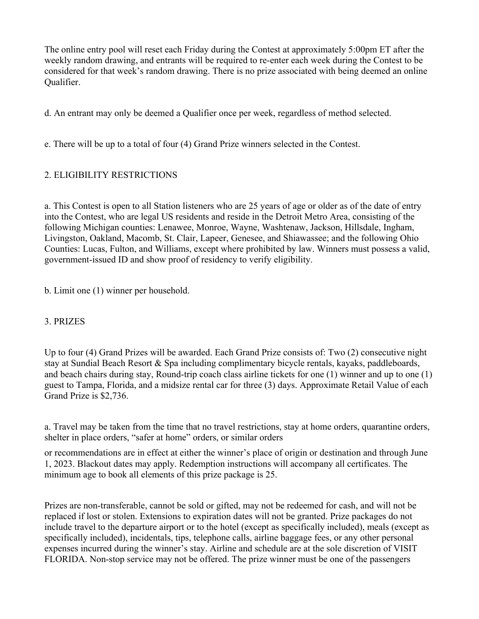The online entry pool will reset each Friday during the Contest at approximately 5:00pm ET after the weekly random drawing, and entrants will be required to re-enter each week during the Contest to be considered for that week's random drawing. There is no prize associated with being deemed an online Qualifier.

d. An entrant may only be deemed a Qualifier once per week, regardless of method selected.

e. There will be up to a total of four (4) Grand Prize winners selected in the Contest.

# 2. ELIGIBILITY RESTRICTIONS

a. This Contest is open to all Station listeners who are 25 years of age or older as of the date of entry into the Contest, who are legal US residents and reside in the Detroit Metro Area, consisting of the following Michigan counties: Lenawee, Monroe, Wayne, Washtenaw, Jackson, Hillsdale, Ingham, Livingston, Oakland, Macomb, St. Clair, Lapeer, Genesee, and Shiawassee; and the following Ohio Counties: Lucas, Fulton, and Williams, except where prohibited by law. Winners must possess a valid, government-issued ID and show proof of residency to verify eligibility.

b. Limit one (1) winner per household.

### 3. PRIZES

Up to four (4) Grand Prizes will be awarded. Each Grand Prize consists of: Two (2) consecutive night stay at Sundial Beach Resort & Spa including complimentary bicycle rentals, kayaks, paddleboards, and beach chairs during stay, Round-trip coach class airline tickets for one (1) winner and up to one (1) guest to Tampa, Florida, and a midsize rental car for three (3) days. Approximate Retail Value of each Grand Prize is \$2,736.

a. Travel may be taken from the time that no travel restrictions, stay at home orders, quarantine orders, shelter in place orders, "safer at home" orders, or similar orders

or recommendations are in effect at either the winner's place of origin or destination and through June 1, 2023. Blackout dates may apply. Redemption instructions will accompany all certificates. The minimum age to book all elements of this prize package is 25.

Prizes are non-transferable, cannot be sold or gifted, may not be redeemed for cash, and will not be replaced if lost or stolen. Extensions to expiration dates will not be granted. Prize packages do not include travel to the departure airport or to the hotel (except as specifically included), meals (except as specifically included), incidentals, tips, telephone calls, airline baggage fees, or any other personal expenses incurred during the winner's stay. Airline and schedule are at the sole discretion of VISIT FLORIDA. Non-stop service may not be offered. The prize winner must be one of the passengers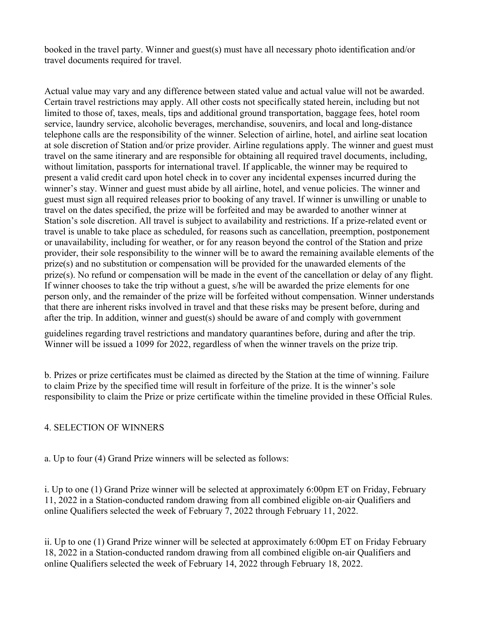booked in the travel party. Winner and guest(s) must have all necessary photo identification and/or travel documents required for travel.

Actual value may vary and any difference between stated value and actual value will not be awarded. Certain travel restrictions may apply. All other costs not specifically stated herein, including but not limited to those of, taxes, meals, tips and additional ground transportation, baggage fees, hotel room service, laundry service, alcoholic beverages, merchandise, souvenirs, and local and long-distance telephone calls are the responsibility of the winner. Selection of airline, hotel, and airline seat location at sole discretion of Station and/or prize provider. Airline regulations apply. The winner and guest must travel on the same itinerary and are responsible for obtaining all required travel documents, including, without limitation, passports for international travel. If applicable, the winner may be required to present a valid credit card upon hotel check in to cover any incidental expenses incurred during the winner's stay. Winner and guest must abide by all airline, hotel, and venue policies. The winner and guest must sign all required releases prior to booking of any travel. If winner is unwilling or unable to travel on the dates specified, the prize will be forfeited and may be awarded to another winner at Station's sole discretion. All travel is subject to availability and restrictions. If a prize-related event or travel is unable to take place as scheduled, for reasons such as cancellation, preemption, postponement or unavailability, including for weather, or for any reason beyond the control of the Station and prize provider, their sole responsibility to the winner will be to award the remaining available elements of the prize(s) and no substitution or compensation will be provided for the unawarded elements of the prize(s). No refund or compensation will be made in the event of the cancellation or delay of any flight. If winner chooses to take the trip without a guest, s/he will be awarded the prize elements for one person only, and the remainder of the prize will be forfeited without compensation. Winner understands that there are inherent risks involved in travel and that these risks may be present before, during and after the trip. In addition, winner and guest(s) should be aware of and comply with government

guidelines regarding travel restrictions and mandatory quarantines before, during and after the trip. Winner will be issued a 1099 for 2022, regardless of when the winner travels on the prize trip.

b. Prizes or prize certificates must be claimed as directed by the Station at the time of winning. Failure to claim Prize by the specified time will result in forfeiture of the prize. It is the winner's sole responsibility to claim the Prize or prize certificate within the timeline provided in these Official Rules.

## 4. SELECTION OF WINNERS

a. Up to four (4) Grand Prize winners will be selected as follows:

i. Up to one (1) Grand Prize winner will be selected at approximately 6:00pm ET on Friday, February 11, 2022 in a Station-conducted random drawing from all combined eligible on-air Qualifiers and online Qualifiers selected the week of February 7, 2022 through February 11, 2022.

ii. Up to one (1) Grand Prize winner will be selected at approximately 6:00pm ET on Friday February 18, 2022 in a Station-conducted random drawing from all combined eligible on-air Qualifiers and online Qualifiers selected the week of February 14, 2022 through February 18, 2022.